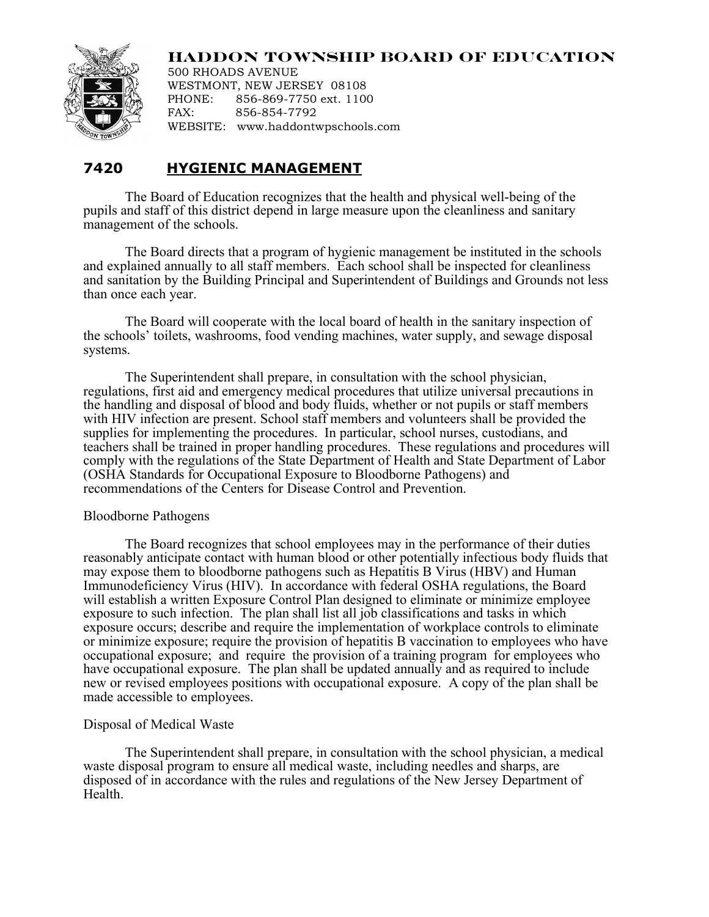## **HADDON TOWNSHIP BOARD OF EDUCATION**



500 RHOADS AVENUE WESTMONT, NEW JERSEY 08108 PHONE: 856-869-7750 ext. 1100 FAX: 856-854-7792 WEBSITE: www.haddontwpschools.com

# **7420 HYGIENIC MANAGEMENT**

The Board of Education recognizes that the health and physical well-being of the pupils and staff of this district depend in large measure upon the cleanliness and sanitary management of the schools.

The Board directs that a program of hygienic management be instituted in the schools and explained annually to all staff members. Each school shall be inspected for cleanliness and sanitation by the Building Principal and Superintendent of Buildings and Grounds not less than once each year.

The Board will cooperate with the local board of health in the sanitary inspection of the schools' toilets, washrooms, food vending machines, water supply, and sewage disposal systems.

The Superintendent shall prepare, in consultation with the school physician, regulations, first aid and emergency medical procedures that utilize universal precautions in the handling and disposal of blood and body fluids, whether or not pupils or staff members with HIV infection are present. School staff members and volunteers shall be provided the supplies for implementing the procedures. In particular, school nurses, custodians, and teachers shall be trained in proper handling procedures. These regulations and procedures will comply with the regulations of the State Department of Health and State Department of Labor (OSHA Standards for Occupational Exposure to Bloodborne Pathogens) and recommendations of the Centers for Disease Control and Prevention.

### Bloodborne Pathogens

The Board recognizes that school employees may in the performance of their duties reasonably anticipate contact with human blood or other potentially infectious body fluids that may expose them to bloodborne pathogens such as Hepatitis B Virus (HBV) and Human Immunodeficiency Virus (HIV). In accordance with federal OSHA regulations, the Board will establish a written Exposure Control Plan designed to eliminate or minimize employee exposure to such infection. The plan shall list all job classifications and tasks in which exposure occurs; describe and require the implementation of workplace controls to eliminate or minimize exposure; require the provision of hepatitis B vaccination to employees who have occupational exposure; and require the provision of a training program for employees who have occupational exposure. The plan shall be updated annually and as required to include new or revised employees positions with occupational exposure. A copy of the plan shall be made accessible to employees.

### Disposal of Medical Waste

The Superintendent shall prepare, in consultation with the school physician, a medical waste disposal program to ensure all medical waste, including needles and sharps, are disposed of in accordance with the rules and regulations of the New Jersey Department of Health.